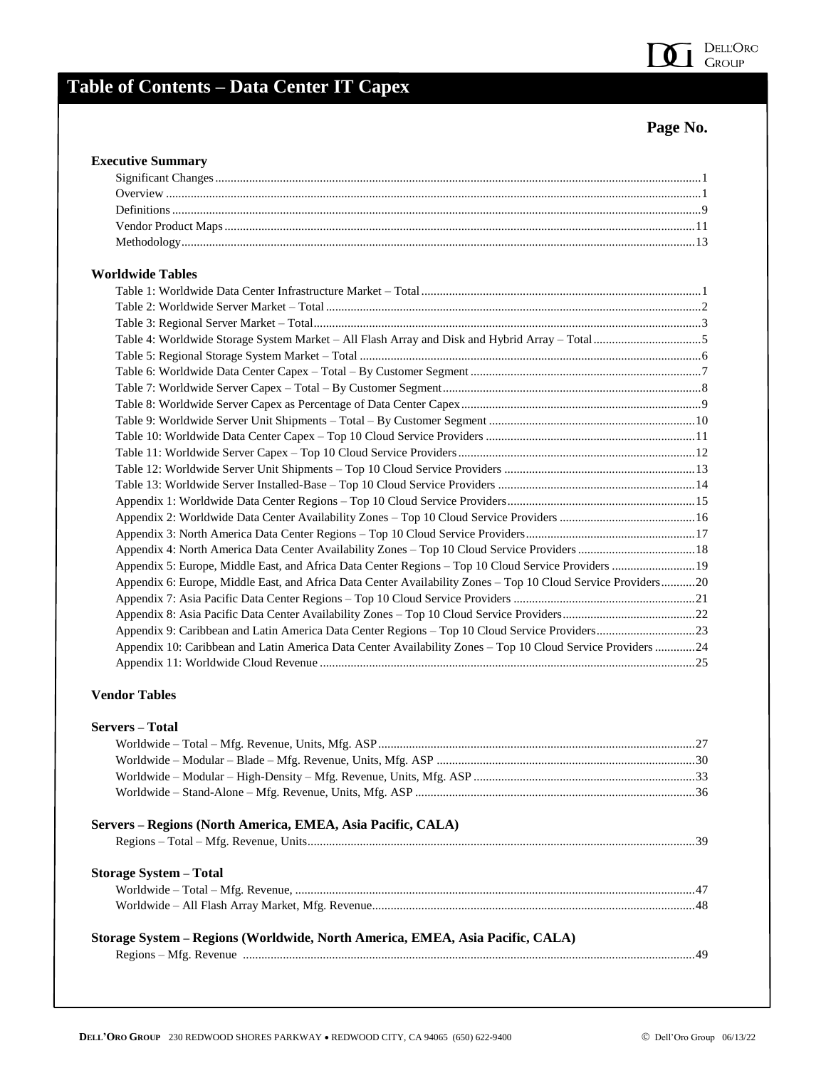

## **Table of Contents – Data Center IT Capex**

## **Page No.**

#### **Executive Summary**

| $\mathbf{u}$ , $\mathbf{u}$ , $\mathbf{u}$ , $\mathbf{u}$ , $\mathbf{u}$ , $\mathbf{u}$ , $\mathbf{u}$ , $\mathbf{u}$ , $\mathbf{u}$ , $\mathbf{u}$ , $\mathbf{u}$ , $\mathbf{u}$ , $\mathbf{u}$ , $\mathbf{u}$ , $\mathbf{u}$ , $\mathbf{u}$ , $\mathbf{u}$ , $\mathbf{u}$ , $\mathbf{u}$ , $\mathbf{u}$ , |  |
|-------------------------------------------------------------------------------------------------------------------------------------------------------------------------------------------------------------------------------------------------------------------------------------------------------------|--|

### **Worldwide Tables**

| лимше тапел                                                                                                   |  |
|---------------------------------------------------------------------------------------------------------------|--|
|                                                                                                               |  |
|                                                                                                               |  |
|                                                                                                               |  |
|                                                                                                               |  |
|                                                                                                               |  |
|                                                                                                               |  |
|                                                                                                               |  |
|                                                                                                               |  |
|                                                                                                               |  |
|                                                                                                               |  |
|                                                                                                               |  |
|                                                                                                               |  |
|                                                                                                               |  |
|                                                                                                               |  |
|                                                                                                               |  |
|                                                                                                               |  |
|                                                                                                               |  |
| Appendix 5: Europe, Middle East, and Africa Data Center Regions - Top 10 Cloud Service Providers  19          |  |
| Appendix 6: Europe, Middle East, and Africa Data Center Availability Zones - Top 10 Cloud Service Providers20 |  |
|                                                                                                               |  |
|                                                                                                               |  |
|                                                                                                               |  |
| Appendix 10: Caribbean and Latin America Data Center Availability Zones - Top 10 Cloud Service Providers24    |  |
|                                                                                                               |  |

#### **Vendor Tables**

| <b>Servers</b> – Total                                                        |  |
|-------------------------------------------------------------------------------|--|
|                                                                               |  |
|                                                                               |  |
|                                                                               |  |
|                                                                               |  |
| Servers – Regions (North America, EMEA, Asia Pacific, CALA)                   |  |
|                                                                               |  |
| <b>Storage System – Total</b>                                                 |  |
|                                                                               |  |
|                                                                               |  |
| Storage System – Regions (Worldwide, North America, EMEA, Asia Pacific, CALA) |  |
|                                                                               |  |